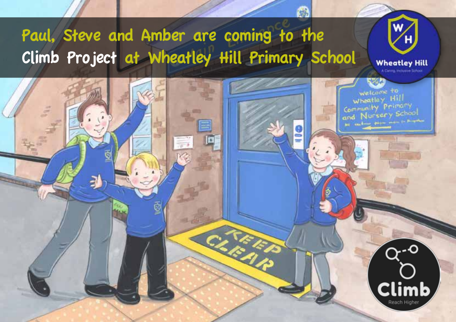## Paul, Steve and Amber are coming to the Climb Project at Wheatley Hill Primary School**Wheatley Hill** welcome to wheatley Hill Community Primary Community Primary Millian Britain State And in Britain Climb Reach Highe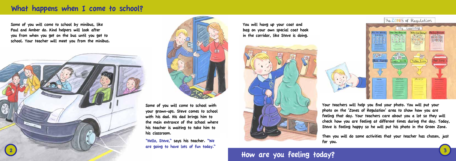Some of you will come to school by minibus, like Paul and Amber do. Kind helpers will look after you from when you get on the bus until you get to school. Your teacher will meet you from the minibus.





#### What happens when I come to school?

You will hang up your coat and bag on your own special coat hook in the corridor, like Steve is doing.





Your teachers will help you find your photo. You will put your photo on the 'Zones of Regulation' area to show how you are feeling that day. Your teachers care about you a lot so they will check how you are feeling at different times during the day. Today, Steve is feeling happy so he will put his photo in the Green Zone.

Then you will do some activities that your teacher has chosen, just

for you.

How are you feeling today?

Some of you will come to school with your grown-ups. Steve comes to school with his dad. His dad brings him to the main entrance of the school where his teacher is waiting to take him to his classroom.

"Hello, Steve," says his teacher. "We are going to have lots of fun today."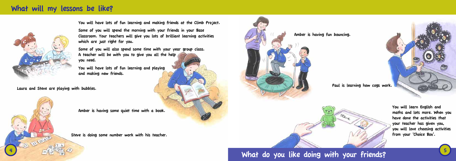#### What will my lessons be like?



You will have lots of fun learning and making friends at the Climb Project.

Some of you will spend the morning with your friends in your Base Classroom. Your teachers will give you lots of brilliant learning activities which are just right for you.

Some of you will also spend some time with your year group class. A teacher will be with you to give you all the help you need.

You will have lots of fun learning and playing and making new friends.

Laura and Steve are playing with bubbles.



Steve is doing some number work with his teacher.



Amber is having some quiet time with a book.

Amber is having fun bouncing.





You will learn English and maths and lots more. When you have done the activities that your teacher has given you, you will love choosing activities from your 'Choice Box'.

#### What do you like doing with your friends?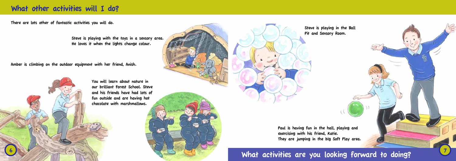#### What other activities will I do?

There are lots other of fantastic activities you will do.

Steve is playing with the toys in a sensory area. He loves it when the lights change colour.

Amber is climbing on the outdoor equipment with her friend, Anish.



You will learn about nature in our brilliant Forest School. Steve and his friends have had lots of fun outside and are having hot chocolate with marshmallows.



Steve is playing in the Ball Pit and Sensory Room.

Paul is having fun in the hall, playing and exercising with his friend, Katie. They are jumping in the big Soft Play area.

### What activities are you looking forward to doing?

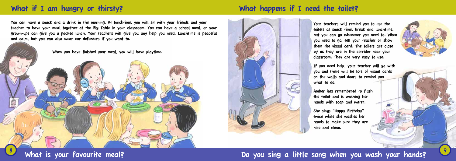### What if I am hungry or thirsty? What happens if I need the toilet?

You can have a snack and a drink in the morning. At lunchtime, you will sit with your friends and your teacher to have your meal together at the Big Table in your classroom. You can have a school meal, or your grown-ups can give you a packed lunch. Your teachers will give you any help you need. Lunchtime is peaceful and calm, but you can also wear ear defenders if you want to.



When you have finished your meal, you will have playtime.





Your teachers will remind you to use the toilets at snack time, break and lunchtime, but you can go whenever you need to. When you need to go, tell your teacher or show them the visual card. The toilets are close by as they are in the corridor near your classroom. They are very easy to use.

If you need help, your teacher will go with you and there will be lots of visual cards on the walls and doors to remind you what to do.

Amber has remembered to flush the toilet and is washing her hands with soap and water.

She sings "Happy Birthday" twice while she washes her hands to make sure they are nice and clean.

### What is your favourite meal? Do you sing a little song when you wash your hands?

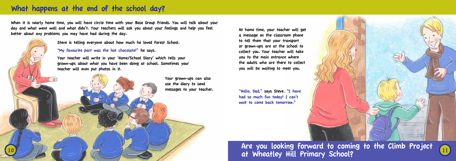10

Are you looking forward to coming to the Climb Project at Wheatley Hill Primary School?



#### What happens at the end of the school day?



When it is nearly home time, you will have circle time with your Base Group friends. You will talk about your day and what went well and what didn't. Your teachers will ask you about your feelings and help you feel better about any problems you may have had during the day.

Steve is telling everyone about how much he loved Forest School.

"My favourite part was the hot chocolate!" he says.

Your teacher will write in your 'Home/School Diary' which tells your grown-ups about what you have been doing at school. Sometimes your teacher will even put photos in it.

At home time, your teacher will get a message on the classroom phone to tell them that your transport or grown-ups are at the school to collect you. Your teacher will take you to the main entrance where the adults who are there to collect you will be waiting to meet you.

"Hello, Dad," says Steve. "I have had so much fun today! I can't wait to come back tomorrow."

Your grown-ups can also use the diary to send messages to your teacher.